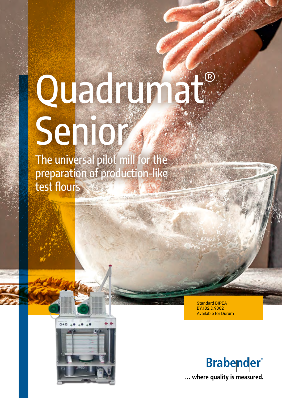# Quadrunat® Senior

The universal pilot mill for the preparation of production-like test flours

> Standard BIPEA -BY.102.D.9302 **Available for Durum**



... where quality is measured.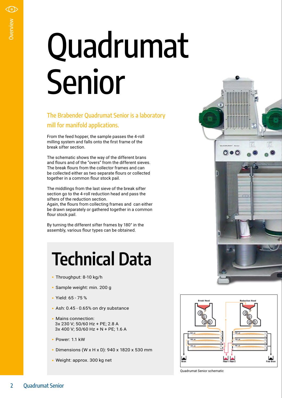# Property of the British of the British of The British of The British of The Scheel break siff The scheaf flour The break siffers of bediender the midd section g siffers of Again, the draw flour stock By turning assembly<br>By Quadrumat Senior

#### The Brabender Quadrumat Senior is a laboratory mill for manifold applications.

From the feed hopper, the sample passes the 4-roll milling system and falls onto the first frame of the break sifter section.

The schematic shows the way of the different brans and flours and of the "overs" from the different sieves. The break flours from the collector frames and can be collected either as two separate flours or collected together in a common flour stock pail.

The middlings from the last sieve of the break sifter section go to the 4-roll reduction head and pass the sifters of the reduction section.

Again, the flours from collecting frames and can either be drawn separately or gathered together in a common flour stock pail.

By turning the different sifter frames by 180° in the assembly, various flour types can be obtained.

### **Technical Data**

- Throughput: 8-10 kg/h
- Sample weight: min. 200 g
- Yield: 65 75 %
- Ash: 0.45 0.65% on dry substance
- Mains connection: 3x 230 V; 50/60 Hz + PE; 2.8 A 3x 400 V; 50/60 Hz + N + PE; 1.6 A
- Power: 1.1 kW
- Dimensions (W x H x D): 940 x 1820 x 530 mm
- Weight: approx. 300 kg net





Quadrumat Senior schematic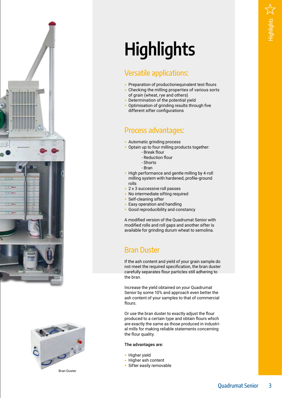



## **Highlights**

#### Versatile applications:

- Preparation of productionequivalent test flours
- Checking the milling properties of various sorts of grain (wheat, rye and others)
- Determination of the potential yield
- Optimisation of grinding results through five different sifter configurations

#### Process advantages :

- Automatic grinding process
- Optain up to four milling products together:
	- Break flour
		- Reduction flour
	- Shorts
	- Bran
- High performance and gentle milling by 4-roll milling system with hardened, profile-ground rolls
- 2 x 3 successive roll passes
- No intermediate sifting required
- Self-cleaning sifter
- Easy operation and handling
- Good reproducibility and constancy

A modified version of the Quadrumat Senior with modified rolls and roll gaps and another sifter is available for grinding durum wheat to semolina.

#### Bran Duster

If the ash content and yield of your grain sample do not meet the required specification, the bran duster carefully separates flour particles still adhering to the bran.

Increase the yield obtained on your Quadrumat Senior by some 10% and approach even better the ash content of your samples to that of commercial flours.

Or use the bran duster to exactly adjust the flour produced to a certain type and obtain flours which are exactly the same as those produced in industri al mills for making reliable statements concerning the flour quality.

#### The advantages are:

- Higher yield
- Higher ash content
- Sifter easily removable